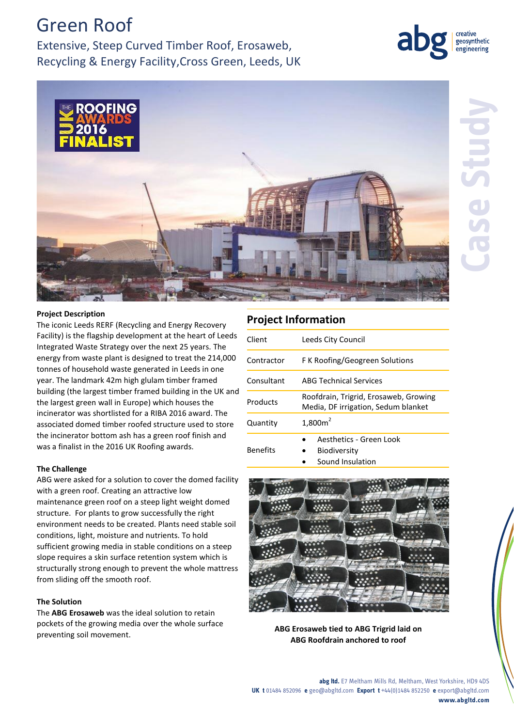# Green Roof

Extensive, Steep Curved Timber Roof, Erosaweb, Recycling & Energy Facility,Cross Green, Leeds, UK



geosynthetic engineering

## **Project Description**

The iconic Leeds RERF (Recycling and Energy Recovery Facility) is the flagship development at the heart of Leeds Integrated Waste Strategy over the next 25 years. The energy from waste plant is designed to treat the 214,000 tonnes of household waste generated in Leeds in one year. The landmark 42m high glulam timber framed building (the largest timber framed building in the UK and the largest green wall in Europe) which houses the incinerator was shortlisted for a RIBA 2016 award. The associated domed timber roofed structure used to store the incinerator bottom ash has a green roof finish and was a finalist in the 2016 UK Roofing awards.

#### **The Challenge**

ABG were asked for a solution to cover the domed facility with a green roof. Creating an attractive low maintenance green roof on a steep light weight domed structure. For plants to grow successfully the right environment needs to be created. Plants need stable soil conditions, light, moisture and nutrients. To hold sufficient growing media in stable conditions on a steep slope requires a skin surface retention system which is structurally strong enough to prevent the whole mattress from sliding off the smooth roof.

#### **The Solution**

The **ABG Erosaweb** was the ideal solution to retain pockets of the growing media over the whole surface preventing soil movement. **ABG Erosaweb tied to ABG Trigrid laid on** 

# **Project Information**

| Client          | Leeds City Council                                                           |
|-----------------|------------------------------------------------------------------------------|
| Contractor      | F K Roofing/Geogreen Solutions                                               |
| Consultant      | <b>ABG Technical Services</b>                                                |
| Products        | Roofdrain, Trigrid, Erosaweb, Growing<br>Media, DF irrigation, Sedum blanket |
| Quantity        | 1,800m <sup>2</sup>                                                          |
| <b>Benefits</b> | Aesthetics - Green Look<br>Biodiversity<br>Sound Insulation                  |



**ABG Roofdrain anchored to roof**